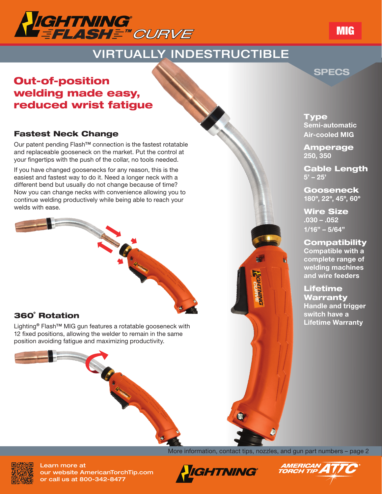

# VIRTUALLY INDESTRUCTIBLE

# Out-of-position welding made easy, reduced wrist fatigue

### Fastest Neck Change

Our patent pending Flash™ connection is the fastest rotatable and replaceable gooseneck on the market. Put the control at your fingertips with the push of the collar, no tools needed.

If you have changed goosenecks for any reason, this is the easiest and fastest way to do it. Need a longer neck with a different bend but usually do not change because of time? Now you can change necks with convenience allowing you to continue welding productively while being able to reach your welds with ease.

# 360˚ Rotation

Lighting® Flash<sup>™</sup> MIG gun features a rotatable gooseneck with 12 fixed positions, allowing the welder to remain in the same position avoiding fatigue and maximizing productivity.



Charles Charles Carpenter

Type Semi-automatic Air-cooled MIG

SPECS

Amperage 250, 350

Cable Length  $5' - 25'$ 

Gooseneck 180º, 22º, 45º, 60º

Wire Size .030 – .052 1/16" – 5/64"

#### **Compatibility**

Compatible with a complete range of welding machines and wire feeders

Lifetime Warranty Handle and trigger switch have a Lifetime Warranty



Learn more at our website AmericanTorchTip.com or call us at 800-342-8477

More information, contact tips, nozzles, and gun part numbers – page 2





# MIG